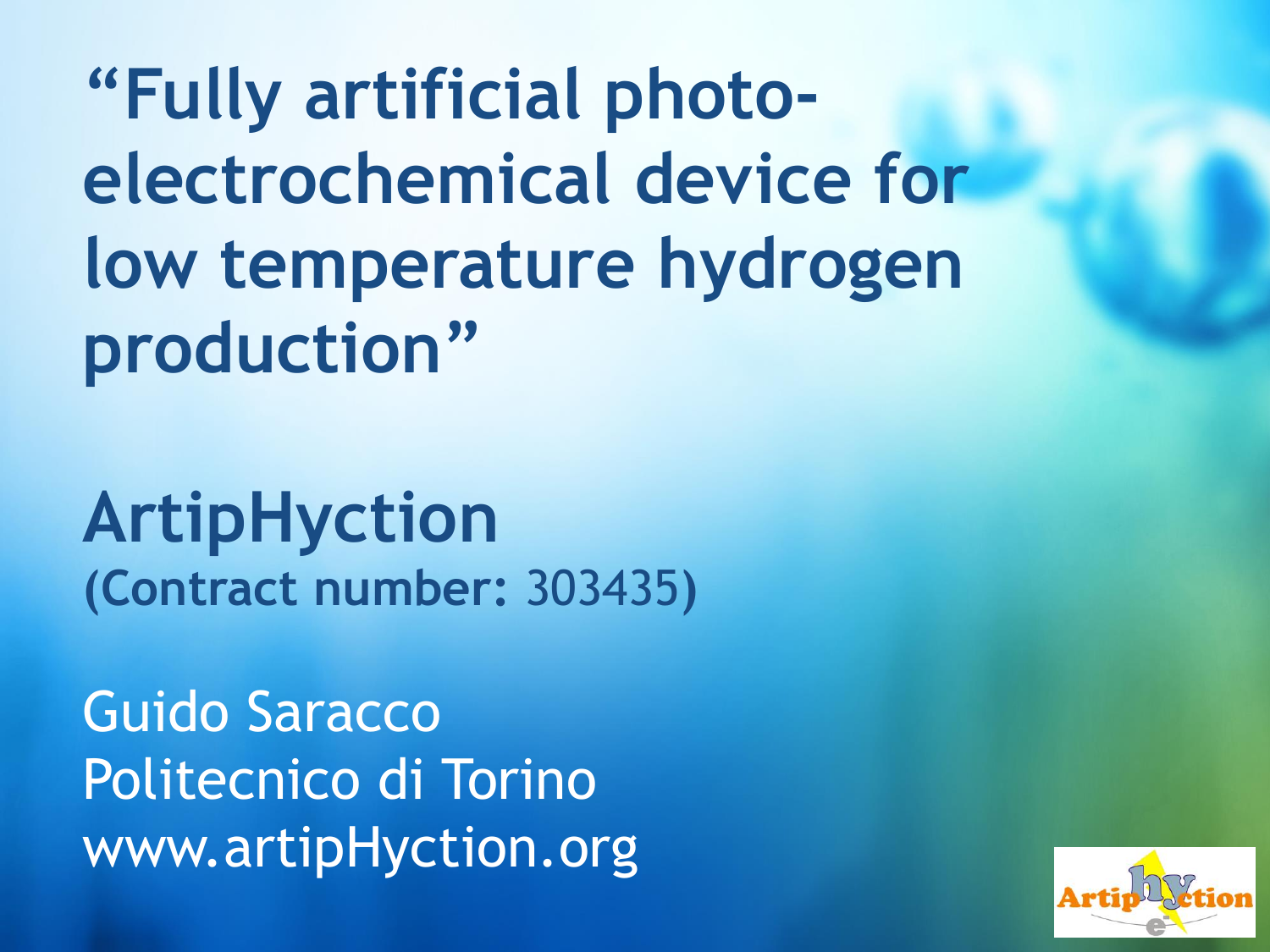**"Fully artificial photoelectrochemical device for low temperature hydrogen production"**

**ArtipHyction (Contract number:** 303435**)**

Guido Saracco Politecnico di Torino www.artipHyction.org

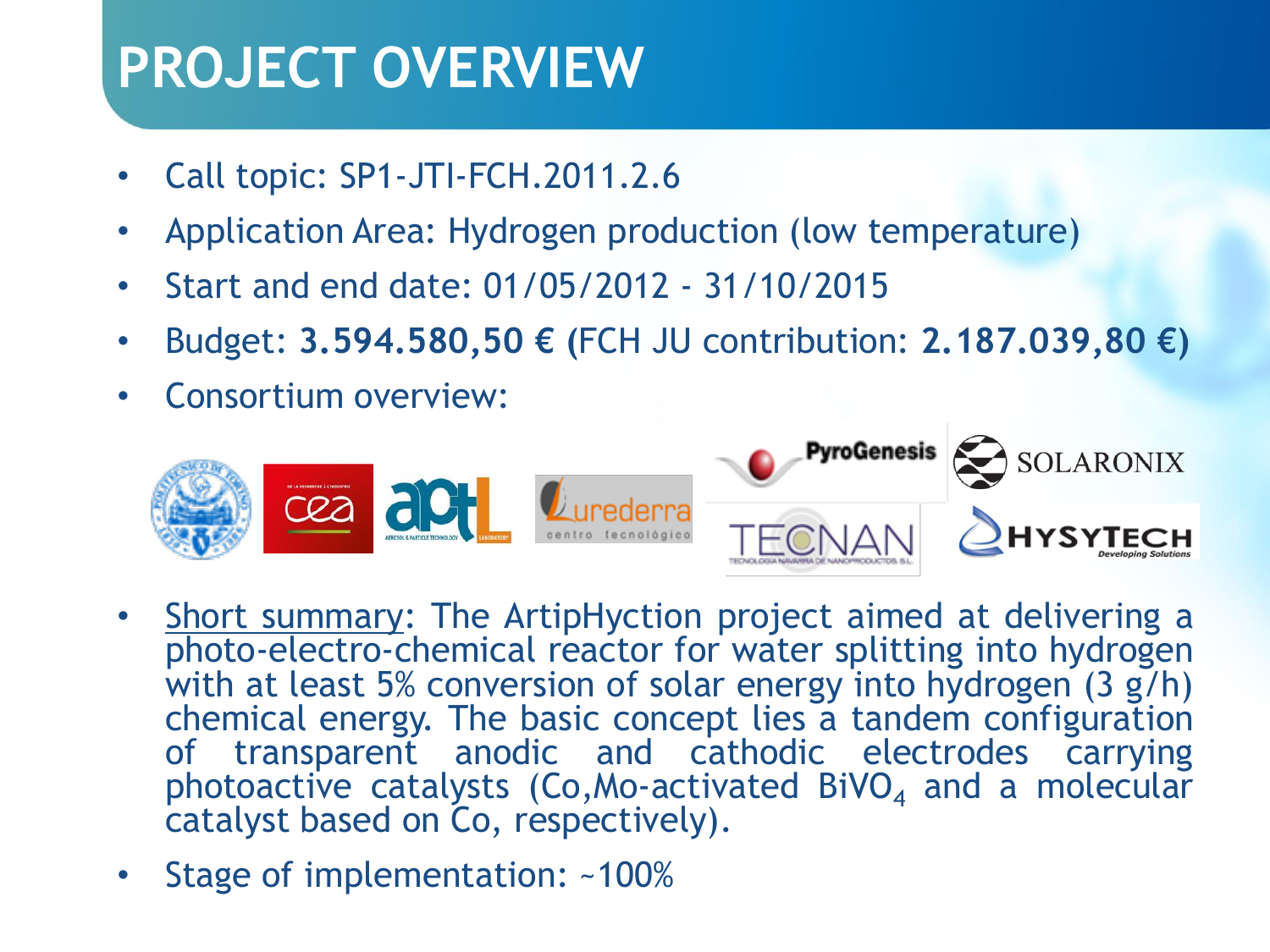## **PROJECT OVERVIEW**

- Call topic: SP1-JTI-FCH.2011.2.6
- Application Area: Hydrogen production (low temperature)
- Start and end date: 01/05/2012 31/10/2015
- Budget: **3.594.580,50 € (**FCH JU contribution: **2.187.039,80 €)**
- Consortium overview:



- Short summary: The ArtipHyction project aimed at delivering a photo-electro-chemical reactor for water splitting into hydrogen with at least 5% conversion of solar energy into hydrogen (3 g/h) chemical energy. The basic concept lies a tandem configuration of transparent anodic and cathodic electrodes carrying photoactive catalysts (Co, Mo-activated BiVO $_4$  and a molecular catalyst based on Co, respectively).
- Stage of implementation: ~100%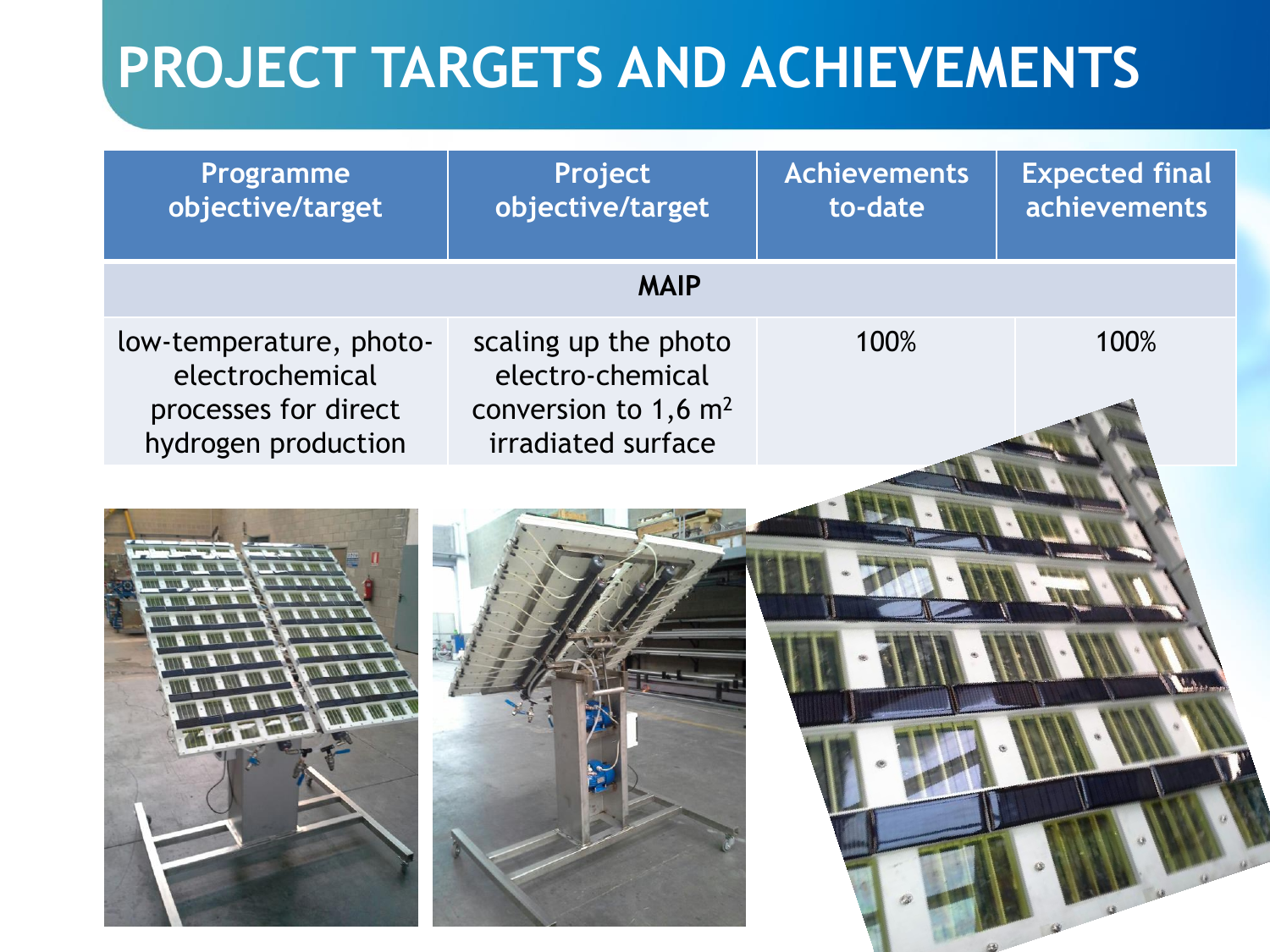| Programme<br>objective/target                                                             | Project<br>objective/target                                                                          | <b>Achievements</b><br>to-date | <b>Expected final</b><br><b>achievements</b> |  |  |  |
|-------------------------------------------------------------------------------------------|------------------------------------------------------------------------------------------------------|--------------------------------|----------------------------------------------|--|--|--|
| <b>MAIP</b>                                                                               |                                                                                                      |                                |                                              |  |  |  |
| low-temperature, photo-<br>electrochemical<br>processes for direct<br>hydrogen production | scaling up the photo<br>electro-chemical<br>conversion to $1,6$ m <sup>2</sup><br>irradiated surface | 100%                           | 100%                                         |  |  |  |
|                                                                                           |                                                                                                      |                                |                                              |  |  |  |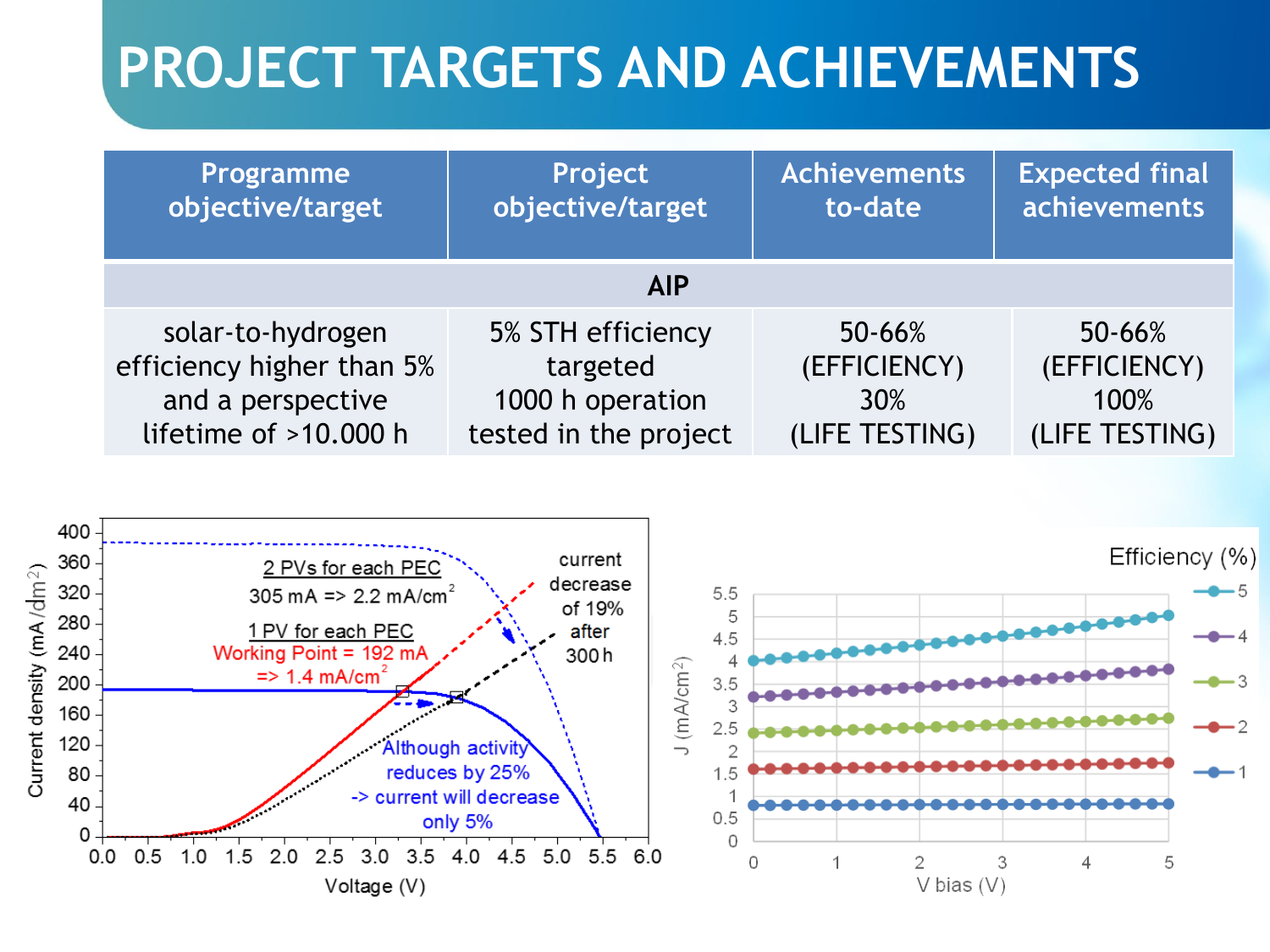| Programme                 | Project               | <b>Achievements</b> | <b>Expected final</b> |  |  |
|---------------------------|-----------------------|---------------------|-----------------------|--|--|
| objective/target          | objective/target      | to-date             | achievements          |  |  |
| <b>AIP</b>                |                       |                     |                       |  |  |
| solar-to-hydrogen         | 5% STH efficiency     | 50-66%              | $50 - 66%$            |  |  |
| efficiency higher than 5% | targeted              | (EFFICIENCY)        | (EFFICIENCY)          |  |  |
| and a perspective         | 1000 h operation      | 30%                 | 100%                  |  |  |
| lifetime of $>10.000$ h   | tested in the project | (LIFE TESTING)      | (LIFE TESTING)        |  |  |

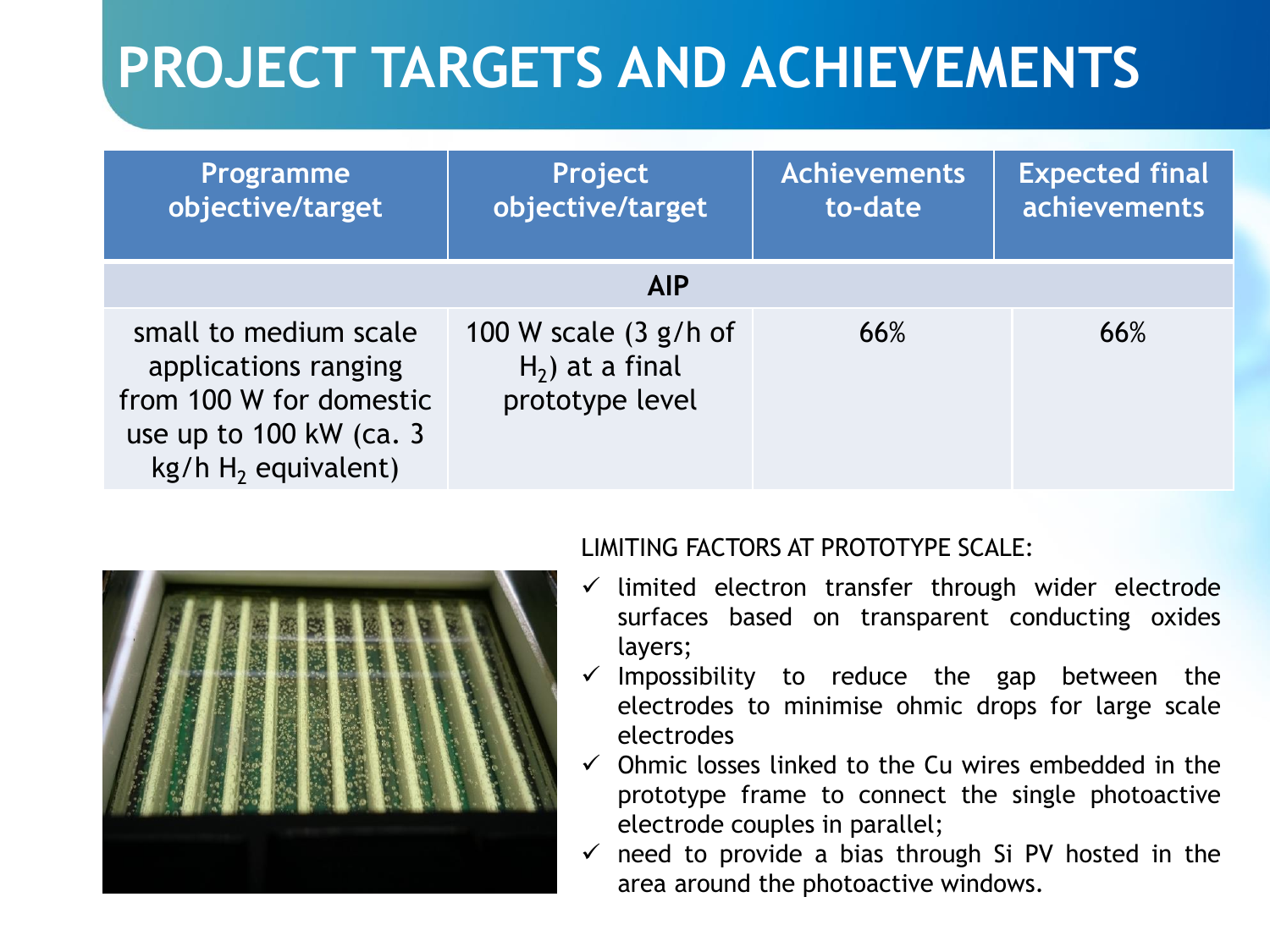| Programme<br>objective/target                                                                                                             | Project<br>objective/target                                    | <b>Achievements</b><br>to-date | <b>Expected final</b><br>achievements |  |  |  |
|-------------------------------------------------------------------------------------------------------------------------------------------|----------------------------------------------------------------|--------------------------------|---------------------------------------|--|--|--|
| <b>AIP</b>                                                                                                                                |                                                                |                                |                                       |  |  |  |
| small to medium scale<br>applications ranging<br>from 100 W for domestic<br>use up to $100 \, \text{kW}$ (ca. 3)<br>$kg/h H2$ equivalent) | 100 W scale $(3 g/h)$<br>$H_2$ ) at a final<br>prototype level | 66%                            | 66%                                   |  |  |  |



#### LIMITING FACTORS AT PROTOTYPE SCALE:

- $\checkmark$  limited electron transfer through wider electrode surfaces based on transparent conducting oxides layers;
- $\checkmark$  Impossibility to reduce the gap between the electrodes to minimise ohmic drops for large scale electrodes
- $\checkmark$  Ohmic losses linked to the Cu wires embedded in the prototype frame to connect the single photoactive electrode couples in parallel;
- $\checkmark$  need to provide a bias through Si PV hosted in the area around the photoactive windows.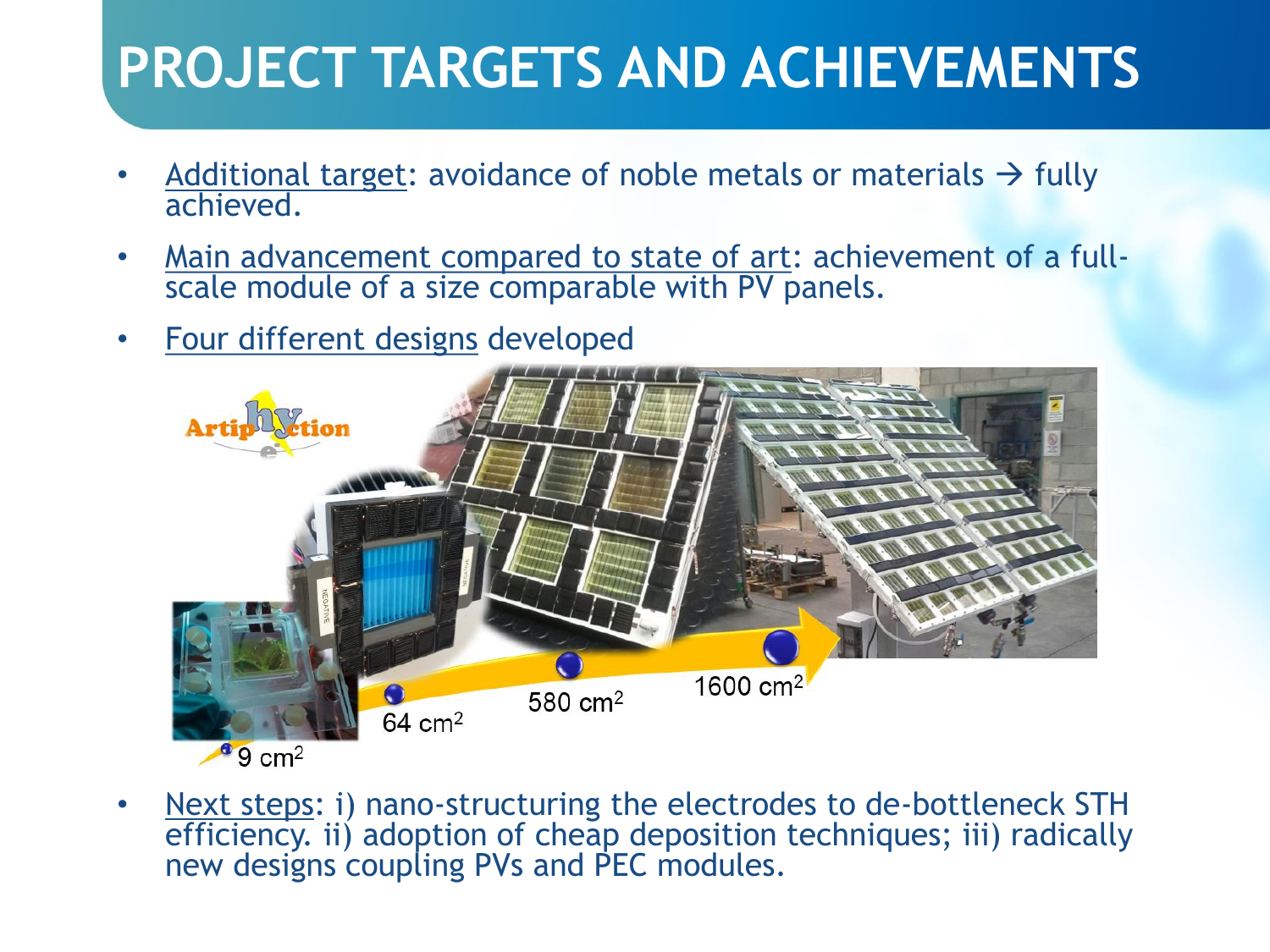- Additional target: avoidance of noble metals or materials  $\rightarrow$  fully achieved.
- Main advancement compared to state of art: achievement of a fullscale module of a size comparable with PV panels.
- Four different designs developed



Next steps: i) nano-structuring the electrodes to de-bottleneck STH efficiency. ii) adoption of cheap deposition techniques; iii) radically new designs coupling PVs and PEC modules.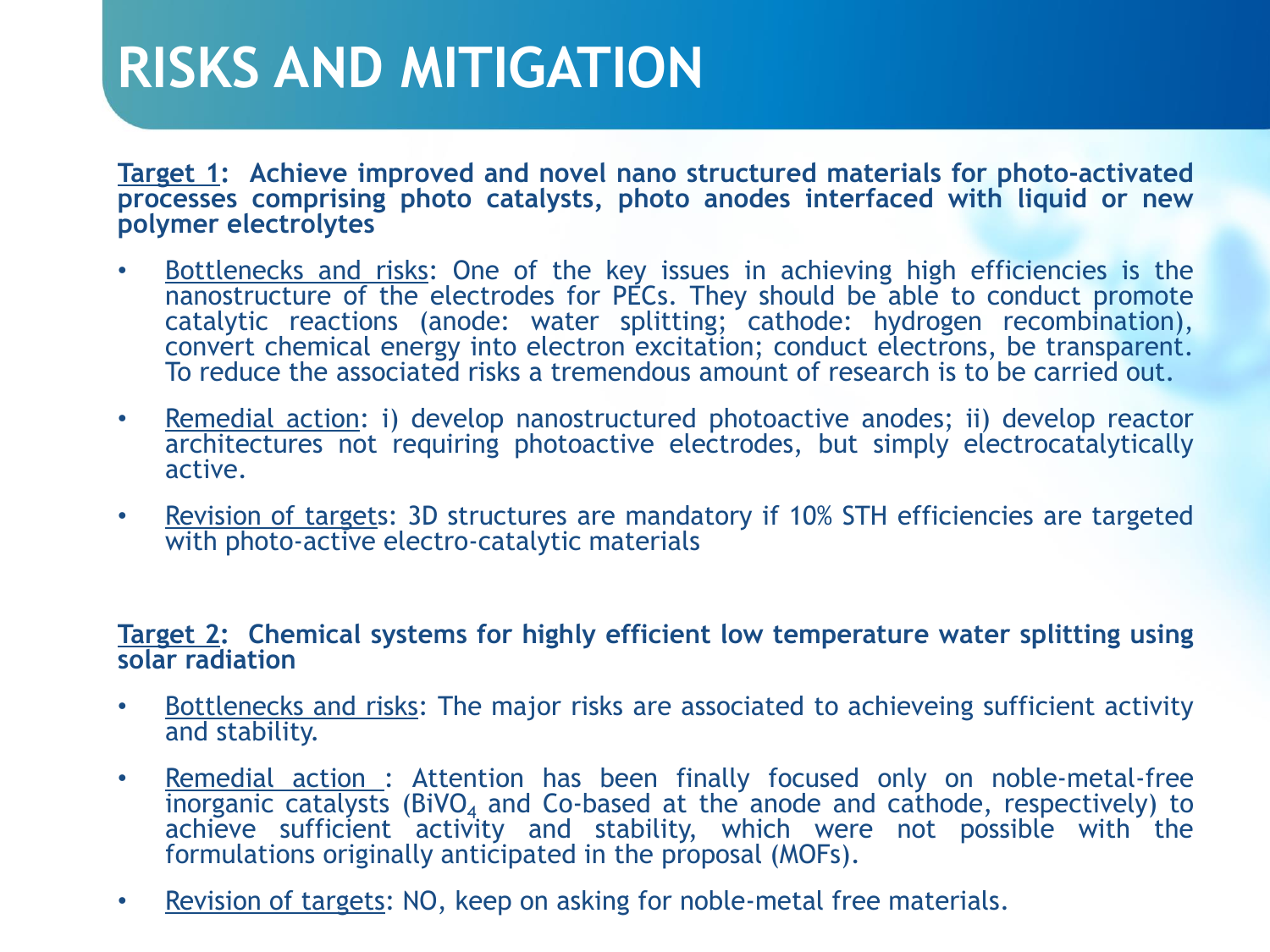#### **RISKS AND MITIGATION**

**Target 1: Achieve improved and novel nano structured materials for photo-activated processes comprising photo catalysts, photo anodes interfaced with liquid or new polymer electrolytes**

- Bottlenecks and risks: One of the key issues in achieving high efficiencies is the nanostructure of the electrodes for PECs. They should be able to conduct promote catalytic reactions (anode: water splitting; cathode: hydrogen recombination), convert chemical energy into electron excitation; conduct electrons, be transparent. To reduce the associated risks a tremendous amount of research is to be carried out.
- Remedial action: i) develop nanostructured photoactive anodes; ii) develop reactor architectures not requiring photoactive electrodes, but simply electrocatalytically active.
- Revision of targets: 3D structures are mandatory if 10% STH efficiencies are targeted with photo-active electro-catalytic materials

#### **Target 2: Chemical systems for highly efficient low temperature water splitting using solar radiation**

- Bottlenecks and risks: The major risks are associated to achieveing sufficient activity and stability.
- Remedial action : Attention has been finally focused only on noble-metal-free inorganic catalysts (BiVO<sub>4</sub> and Co-based at the anode and cathode, respectively) to achieve sufficient activity and stability, which were not possible with the formulations originally anticipated in the proposal (MOFs).
- Revision of targets: NO, keep on asking for noble-metal free materials.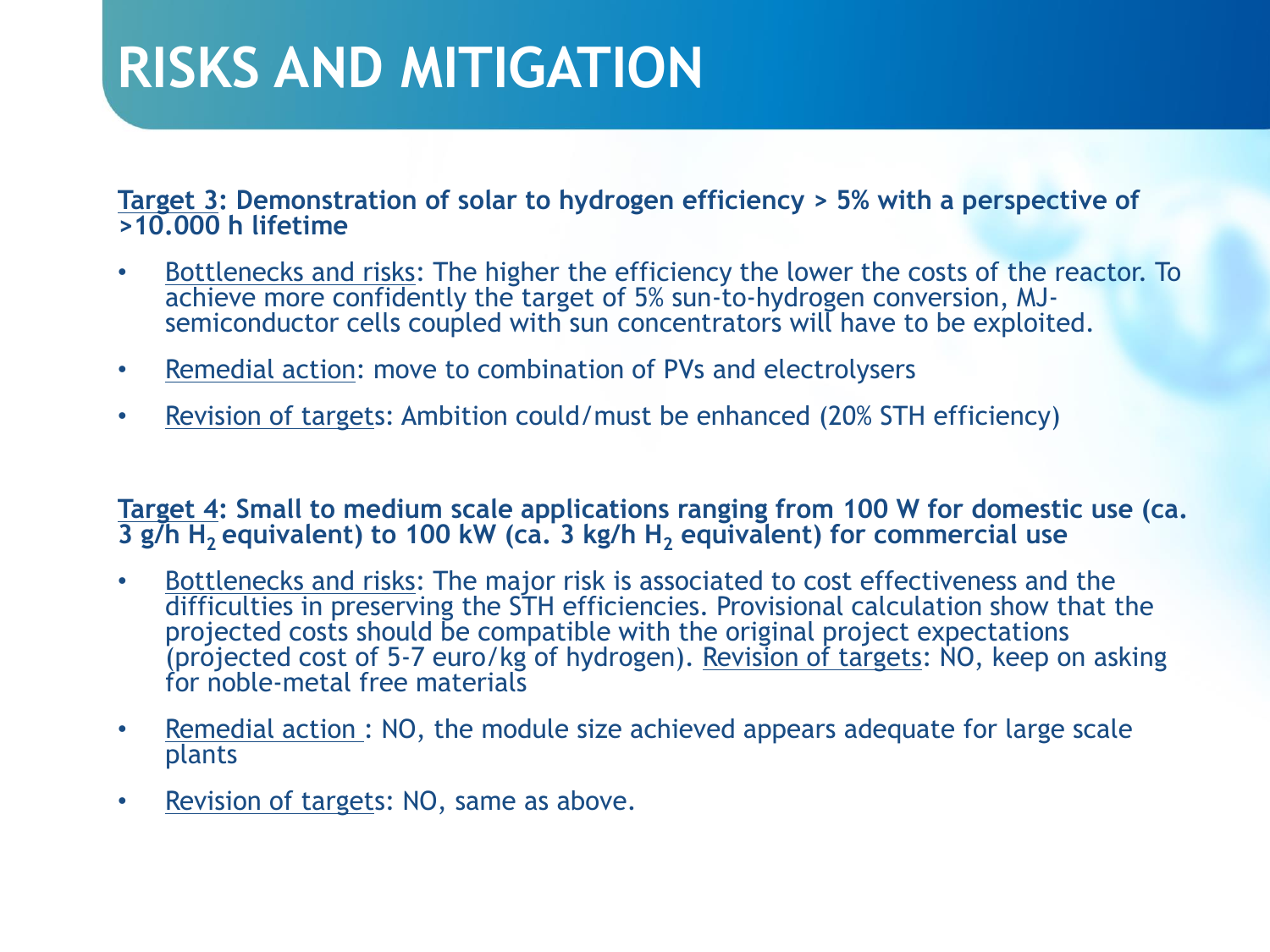## **RISKS AND MITIGATION**

**Target 3: Demonstration of solar to hydrogen efficiency > 5% with a perspective of >10.000 h lifetime**

- Bottlenecks and risks: The higher the efficiency the lower the costs of the reactor. To achieve more confidently the target of 5% sun-to-hydrogen conversion, MJsemiconductor cells coupled with sun concentrators will have to be exploited.
- Remedial action: move to combination of PVs and electrolysers
- Revision of targets: Ambition could/must be enhanced (20% STH efficiency)

**Target 4: Small to medium scale applications ranging from 100 W for domestic use (ca. 3 g/h H2 equivalent) to 100 kW (ca. 3 kg/h H<sup>2</sup> equivalent) for commercial use**

- Bottlenecks and risks: The major risk is associated to cost effectiveness and the difficulties in preserving the STH efficiencies. Provisional calculation show that the projected costs should be compatible with the original project expectations (projected cost of 5-7 euro/kg of hydrogen). Revision of targets: NO, keep on asking for noble-metal free materials
- Remedial action : NO, the module size achieved appears adequate for large scale plants
- Revision of targets: NO, same as above.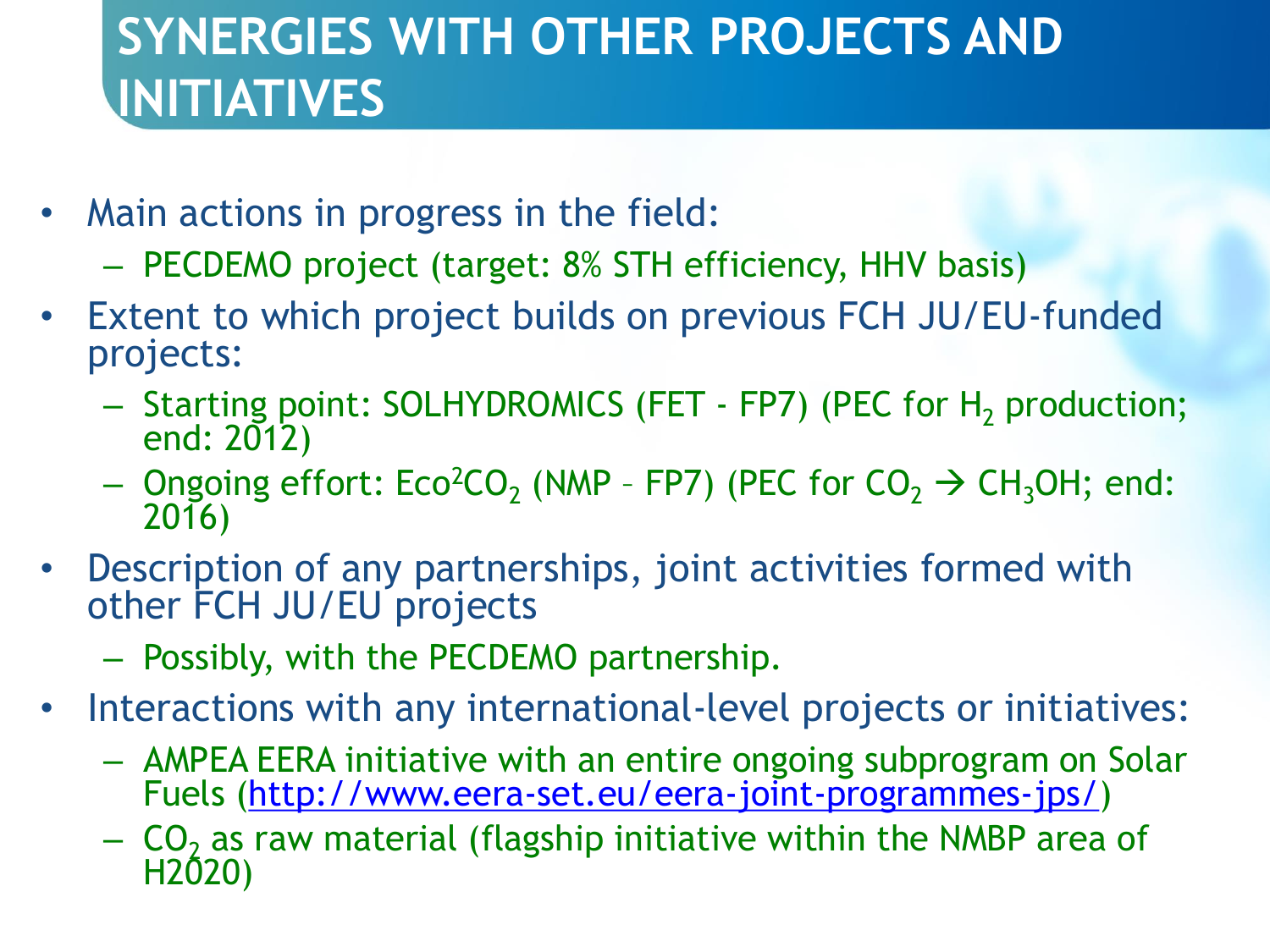## **SYNERGIES WITH OTHER PROJECTS AND INITIATIVES**

- Main actions in progress in the field:
	- PECDEMO project (target: 8% STH efficiency, HHV basis)
- Extent to which project builds on previous FCH JU/EU-funded projects:
	- Starting point: SOLHYDROMICS (FET FP7) (PEC for H<sub>2</sub> production; end: 2012)
	- $-$  Ongoing effort: Eco<sup>2</sup>CO<sub>2</sub> (NMP FP7) (PEC for CO<sub>2</sub>  $\rightarrow$  CH<sub>3</sub>OH; end: 2016)
- Description of any partnerships, joint activities formed with other FCH JU/EU projects
	- Possibly, with the PECDEMO partnership.
- Interactions with any international-level projects or initiatives:
	- AMPEA EERA initiative with an entire ongoing subprogram on Solar Fuels (<http://www.eera-set.eu/eera-joint-programmes-jps/>)
	- $-$  CO<sub>2</sub> as raw material (flagship initiative within the NMBP area of H2020)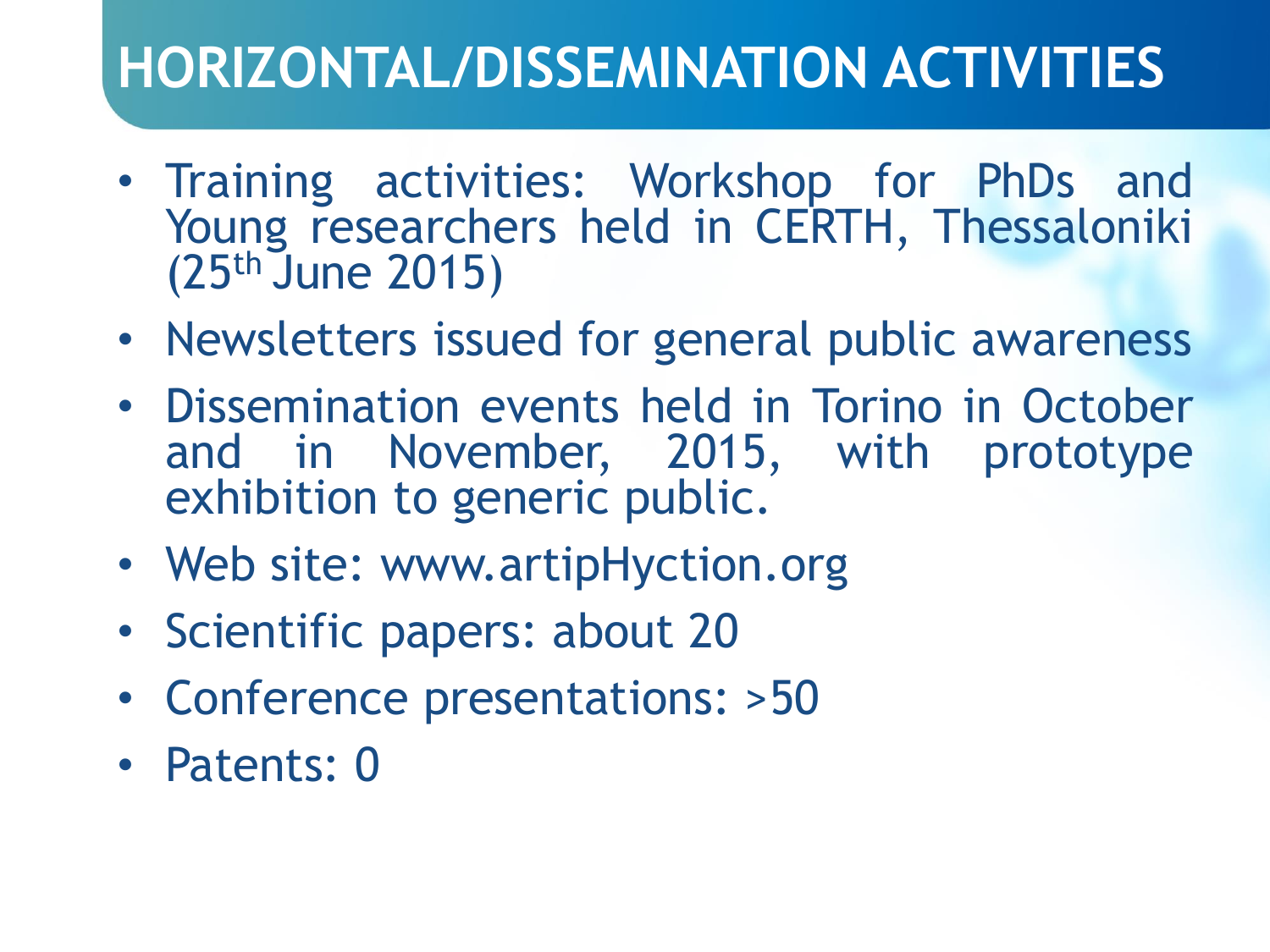## **HORIZONTAL/DISSEMINATION ACTIVITIES**

- Training activities: Workshop for PhDs and Young researchers held in CERTH, Thessaloniki (25th June 2015)
- Newsletters issued for general public awareness
- Dissemination events held in Torino in October and in November, 2015, with prototype exhibition to generic public.
- Web site: www.artipHyction.org
- Scientific papers: about 20
- Conference presentations: >50
- Patents: 0